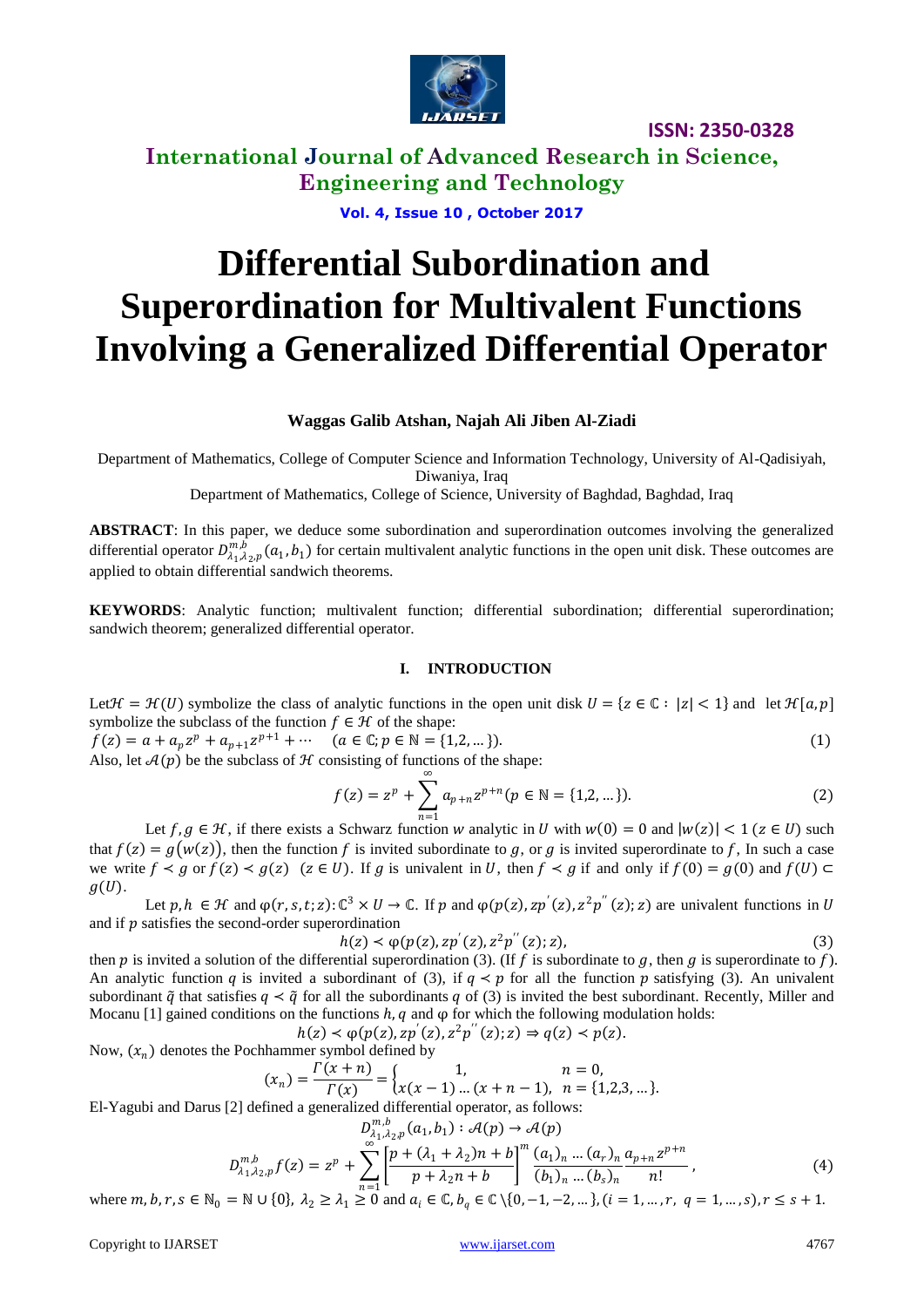

**International Journal of Advanced Research in Science, Engineering and Technology**

**Vol. 4, Issue 10 , October 2017**

# **Differential Subordination and Superordination for Multivalent Functions Involving a Generalized Differential Operator**

## **Waggas Galib Atshan, Najah Ali Jiben Al-Ziadi**

Department of Mathematics, College of Computer Science and Information Technology, University of Al-Qadisiyah, Diwaniya, Iraq

Department of Mathematics, College of Science, University of Baghdad, Baghdad, Iraq

**ABSTRACT**: In this paper, we deduce some subordination and superordination outcomes involving the generalized differential operator  $D_{\lambda_1,\lambda_2,p}^{m,b}(a_1,b_1)$  for certain multivalent analytic functions in the open unit disk. These outcomes are applied to obtain differential sandwich theorems.

**KEYWORDS**: Analytic function; multivalent function; differential subordination; differential superordination; sandwich theorem; generalized differential operator.

#### **I. INTRODUCTION**

Let  $\mathcal{H} = \mathcal{H}(U)$  symbolize the class of analytic functions in the open unit disk  $U = \{z \in \mathbb{C} : |z| < 1\}$  and let  $\mathcal{H}[a, p]$ symbolize the subclass of the function  $f \in \mathcal{H}$  of the shape:

 $f(z) = a + a_p z^p + a_{p+1} z^{p+1} + \cdots \quad (a \in \mathbb{C}; p \in \mathbb{N} = \{1,2,\dots\}).$  (1) Also, let  $\mathcal{A}(p)$  be the subclass of  $\mathcal H$  consisting of functions of the shape:

$$
f(z) = zp + \sum_{n=1}^{\infty} a_{p+n} z^{p+n} (p \in \mathbb{N} = \{1, 2, \dots\}).
$$
 (2)

Let  $f, g \in \mathcal{H}$ , if there exists a Schwarz function w analytic in U with  $w(0) = 0$  and  $|w(z)| < 1$  ( $z \in U$ ) such that  $f(z) = g(w(z))$ , then the function f is invited subordinate to g, or g is invited superordinate to f, In such a case we write  $f \prec g$  or  $f(z) \prec g(z)$   $(z \in U)$ . If g is univalent in U, then  $f \prec g$  if and only if  $f(0) = g(0)$  and  $f(U) \subset$  $g(U)$ .

Let  $p, h \in \mathcal{H}$  and  $\varphi(r, s, t; z)$ :  $\mathbb{C}^3 \times U \to \mathbb{C}$ . If  $p$  and  $\varphi(p(z), z p'(z), z^2 p''(z); z)$  are univalent functions in U and if  $p$  satisfies the second-order superordination

$$
h(z) < \varphi(p(z), z p'(z), z^2 p''(z); z), \tag{3}
$$

then p is invited a solution of the differential superordination (3). (If f is subordinate to q, then q is superordinate to f). An analytic function q is invited a subordinant of (3), if  $q \lt p$  for all the function p satisfying (3). An univalent subordinant  $\tilde{q}$  that satisfies  $q < \tilde{q}$  for all the subordinants q of (3) is invited the best subordinant. Recently, Miller and Mocanu [1] gained conditions on the functions  $h, q$  and  $\varphi$  for which the following modulation holds:

 $h(z) \prec \varphi(p(z), z p'(z), z^2 p''(z); z) \Rightarrow q(z) \prec p(z).$ Now,  $(x_n)$  denotes the Pochhammer symbol defined by

$$
(x_n) = \frac{\Gamma(x+n)}{\Gamma(x)} = \begin{cases} 1, & n = 0, \\ x(x-1) \dots (x+n-1), & n = \{1,2,3,\dots\}. \end{cases}
$$

El-Yagubi and Darus [2] defined a generalized differential operator, as follows:

$$
D_{\lambda_1,\lambda_2,p}^{m,b}(a_1,b_1) : \mathcal{A}(p) \to \mathcal{A}(p)
$$
  

$$
D_{\lambda_1,\lambda_2,p}^{m,b}f(z) = z^p + \sum_{n=1}^{\infty} \left[ \frac{p + (\lambda_1 + \lambda_2)n + b}{p + \lambda_2n + b} \right]^m \frac{(a_1)_n \dots (a_r)_n}{(b_1)_n \dots (b_s)_n} \frac{a_{p+n}z^{p+n}}{n!},
$$
  
*N* (4)

where  $m, b, r, s \in \mathbb{N}_0 = \mathbb{N} \cup \{0\}, \ \lambda_2 \ge \lambda_1 \ge 0$  and  $a_i \in \mathbb{C}, b_q \in \mathbb{C} \setminus \{0, -1, -2, \dots\}, (i = 1, \dots, r, q = 1, \dots, s), r \le s + 1$ .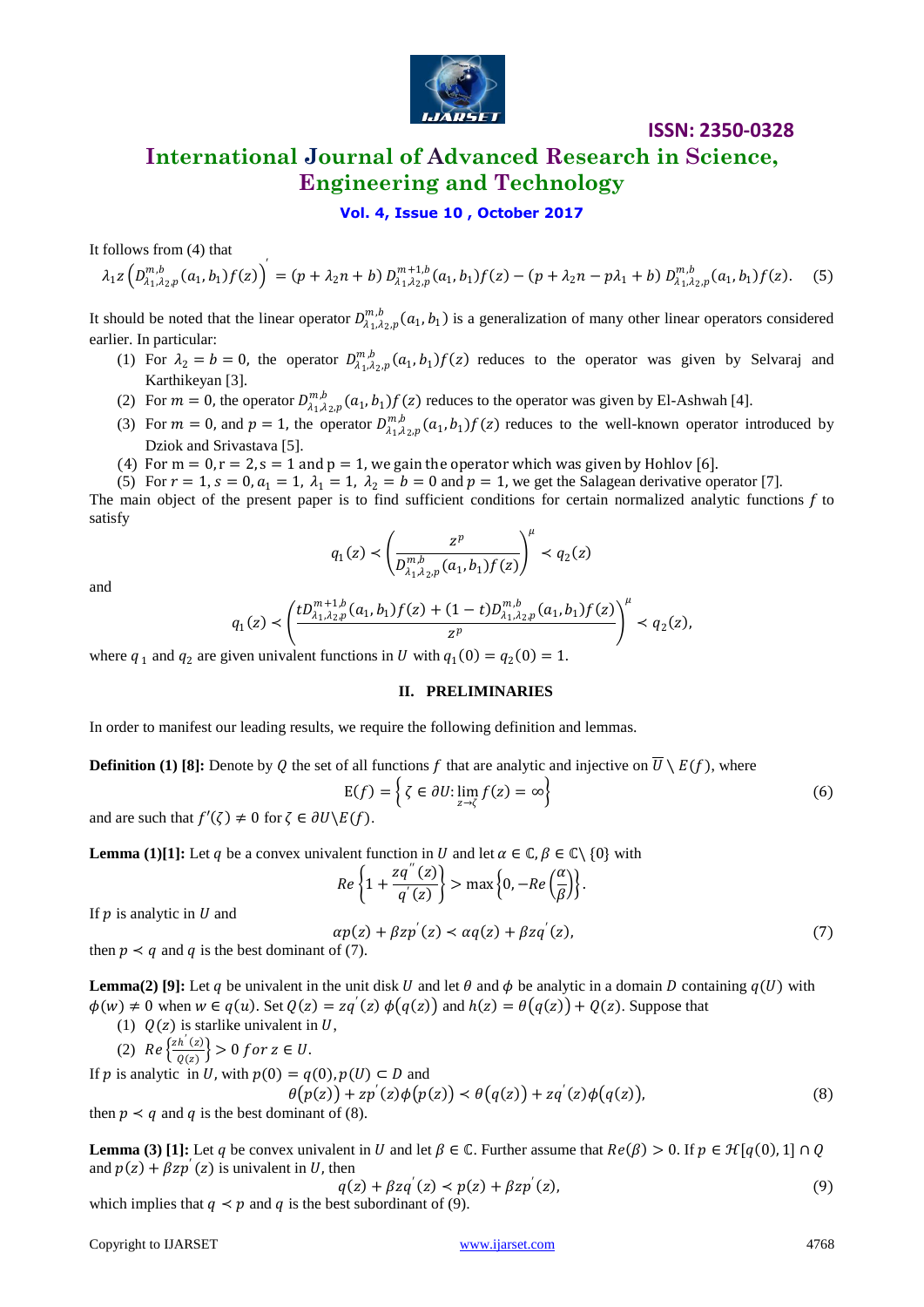

## **International Journal of Advanced Research in Science, Engineering and Technology**

### **Vol. 4, Issue 10 , October 2017**

It follows from (4) that

$$
\lambda_1 z \left( D_{\lambda_1, \lambda_2, p}^{m, b}(a_1, b_1) f(z) \right)' = (p + \lambda_2 n + b) D_{\lambda_1, \lambda_2, p}^{m+1, b}(a_1, b_1) f(z) - (p + \lambda_2 n - p\lambda_1 + b) D_{\lambda_1, \lambda_2, p}^{m, b}(a_1, b_1) f(z).
$$
 (5)

It should be noted that the linear operator  $D_{\lambda_1,\lambda_2,p}^{m,b}(a_1,b_1)$  is a generalization of many other linear operators considered earlier. In particular:

- (1) For  $\lambda_2 = b = 0$ , the operator  $D_{\lambda_1,\lambda_2,p}^{m,b}(a_1,b_1)f(z)$  reduces to the operator was given by Selvaraj and Karthikeyan [3].
- (2) For  $m = 0$ , the operator  $D_{\lambda_1,\lambda_2,p}^{m,b}(a_1,b_1)f(z)$  reduces to the operator was given by El-Ashwah [4].
- (3) For  $m = 0$ , and  $p = 1$ , the operator  $D_{\lambda_1,\lambda_2,p}^{m,b}(a_1,b_1)f(z)$  reduces to the well-known operator introduced by Dziok and Srivastava [5].
- (4) For  $m = 0$ ,  $r = 2$ ,  $s = 1$  and  $p = 1$ , we gain the operator which was given by Hohlov [6].
- (5) For  $r = 1$ ,  $s = 0$ ,  $a_1 = 1$ ,  $\lambda_1 = 1$ ,  $\lambda_2 = b = 0$  and  $p = 1$ , we get the Salagean derivative operator [7].

The main object of the present paper is to find sufficient conditions for certain normalized analytic functions  $f$  to satisfy

$$
q_1(z) < \left(\frac{z^p}{D_{\lambda_1,\lambda_2,p}^{m,b}(a_1,b_1)f(z)}\right)^{\mu} < q_2(z)
$$

and

$$
q_1(z) \prec \left(\frac{tD_{\lambda_1,\lambda_2,p}^{m+1,b}(a_1,b_1)f(z)+(1-t)D_{\lambda_1,\lambda_2,p}^{m,b}(a_1,b_1)f(z)}{z^p}\right)^{\mu} \prec q_2(z),
$$

where  $q_1$  and  $q_2$  are given univalent functions in U with  $q_1(0) = q_2(0) = 1$ .

#### **II. PRELIMINARIES**

In order to manifest our leading results, we require the following definition and lemmas.

**Definition (1) [8]:** Denote by Q the set of all functions f that are analytic and injective on  $\overline{U} \setminus E(f)$ , where

$$
E(f) = \left\{ \zeta \in \partial U : \lim_{z \to \zeta} f(z) = \infty \right\}
$$
 (6)

and are such that  $f'(\zeta) \neq 0$  for  $\zeta \in \partial U \backslash E(f)$ .

**Lemma** (1)[1]: Let q be a convex univalent function in U and let  $\alpha \in \mathbb{C}, \beta \in \mathbb{C} \setminus \{0\}$  with

$$
Re\left\{1+\frac{zq^{''}(z)}{q^{'}(z)}\right\} > \max\left\{0, -Re\left(\frac{\alpha}{\beta}\right)\right\}.
$$

If  $p$  is analytic in  $U$  and

$$
\alpha p(z) + \beta z p'(z) < \alpha q(z) + \beta z q'(z),\tag{7}
$$
\nof (7).

then  $p \lt q$  and q is the best dominant of (7).

**Lemma(2) [9]:** Let q be univalent in the unit disk U and let  $\theta$  and  $\phi$  be analytic in a domain D containing  $q(U)$  with  $\phi(w) \neq 0$  when  $w \in q(u)$ . Set  $Q(z) = zq'(z) \phi(q(z))$  and  $h(z) = \theta(q(z)) + Q(z)$ . Suppose that

(1) 
$$
Q(z)
$$
 is starlike univalent in U,  

$$
Z_h(z)
$$

(2) 
$$
Re\left\{\frac{zh(z)}{Q(z)}\right\} > 0 \text{ for } z \in U.
$$

If *p* is analytic in *U*, with 
$$
p(0) = q(0), p(U) \subset D
$$
 and  
\n
$$
\theta(p(z)) + zp'(z)\phi(p(z)) \prec \theta(q(z)) + zq'(z)\phi(q(z)),
$$
\n(8)

then  $p \lt q$  and q is the best dominant of (8).

**Lemma** (3) **[1]:** Let q be convex univalent in U and let  $\beta \in \mathbb{C}$ . Further assume that  $Re(\beta) > 0$ . If  $p \in \mathcal{H}[q(0), 1] \cap \mathcal{O}$ and  $p(z) + \beta z p'(z)$  is univalent in U, then

$$
q(z) + \beta z q'(z) < p(z) + \beta z p'(z),\tag{9}
$$
\n
$$
z \cdot z = \beta z q'(z) + \beta z p'(z),
$$

which implies that  $q \lt p$  and q is the best subordinant of (9).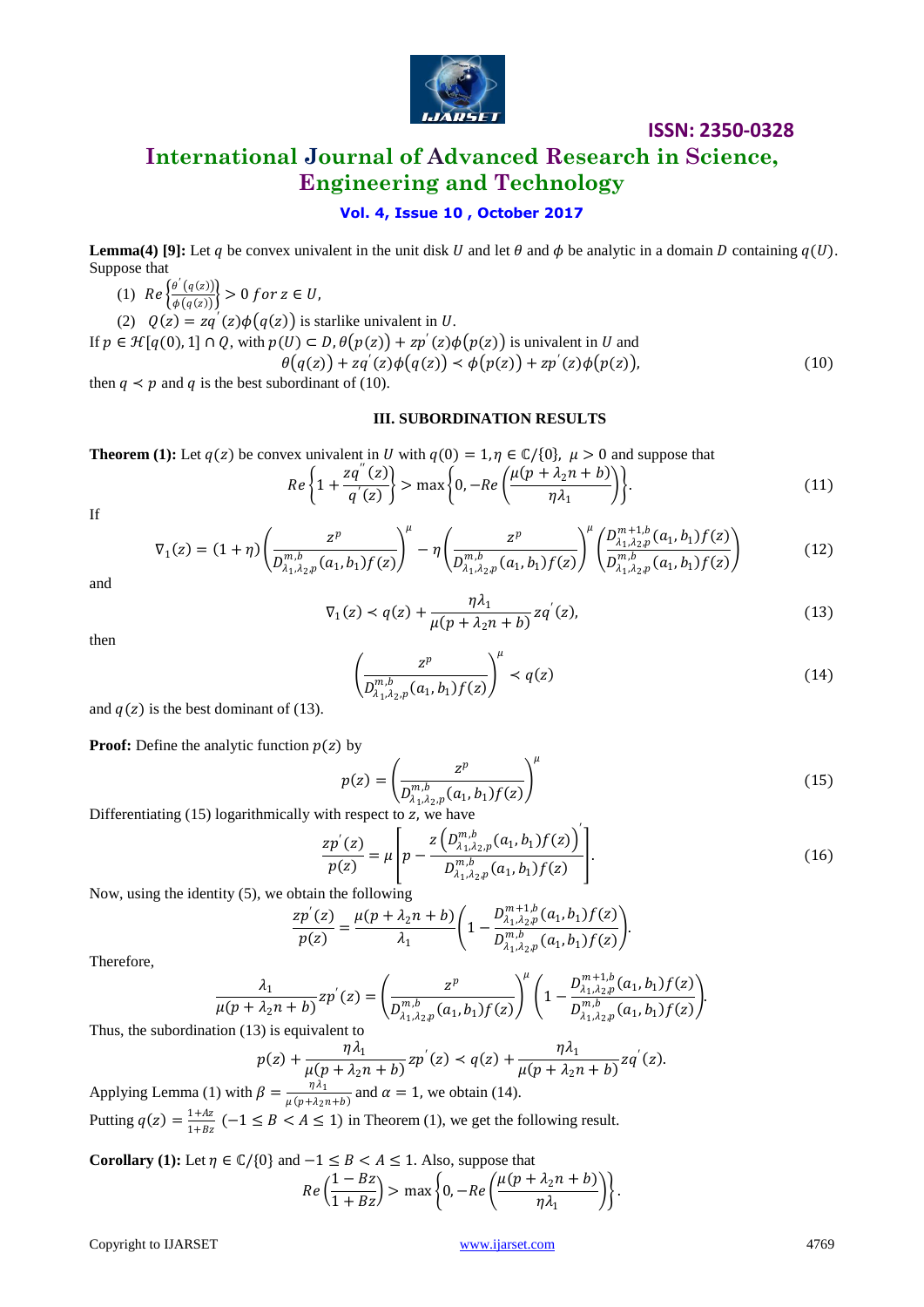

## **International Journal of Advanced Research in Science, Engineering and Technology**

## **Vol. 4, Issue 10 , October 2017**

**Lemma(4)** [9]: Let q be convex univalent in the unit disk U and let  $\theta$  and  $\phi$  be analytic in a domain D containing  $q(U)$ . Suppose that

(1)  $Re \frac{\theta'(q(z))}{t(z(z))}$  $\frac{\partial^2 \left( \mathbf{q}(z) \right)}{\phi(q(z))}$  > 0 for  $z \in U$ ,

(2)  $Q(z) = zq'(z)\phi(q(z))$  is starlike univalent in U.

If  $p \in \mathcal{H}[q(0), 1] \cap Q$ , with  $p(U) \subset D$ ,  $\theta(p(z)) + zp'(z)\phi(p(z))$  is univalent in U and  $\theta(q(z)) + zq'(z)\phi(q(z)) < \phi(p(z)) + zp'(z)\phi(p(z)),$ (10)

then  $q \lt p$  and q is the best subordinant of (10).

#### **III. SUBORDINATION RESULTS**

**Theorem (1):** Let  $q(z)$  be convex univalent in U with  $q(0) = 1, \eta \in \mathbb{C} \setminus \{0\}, \mu > 0$  and suppose that

$$
Re\left\{1+\frac{zq^{''}(z)}{q^{'}(z)}\right\} > \max\left\{0, -Re\left(\frac{\mu(p+\lambda_2n+b)}{\eta\lambda_1}\right)\right\}.
$$
\n(11)

If

$$
\nabla_1(z) = (1+\eta) \left( \frac{z^p}{D_{\lambda_1,\lambda_2,p}^{m,b}(a_1,b_1)f(z)} \right)^{\mu} - \eta \left( \frac{z^p}{D_{\lambda_1,\lambda_2,p}^{m,b}(a_1,b_1)f(z)} \right)^{\mu} \left( \frac{D_{\lambda_1,\lambda_2,p}^{m+1,b}(a_1,b_1)f(z)}{D_{\lambda_1,\lambda_2,p}^{m,b}(a_1,b_1)f(z)} \right)
$$
(12)

and

$$
\nabla_1(z) < q(z) + \frac{\eta \lambda_1}{\mu (p + \lambda_2 n + b)} z q'(z),\tag{13}
$$

then

$$
\left(\frac{z^p}{D_{\lambda_1,\lambda_2,p}^{m,b}(a_1,b_1)f(z)}\right)^{\mu} < q(z) \tag{14}
$$

and  $q(z)$  is the best dominant of (13).

**Proof:** Define the analytic function  $p(z)$  by

$$
p(z) = \left(\frac{z^p}{D_{\lambda_1,\lambda_2,p}^{m,b}(a_1,b_1)f(z)}\right)^{\mu}
$$
 (15)

Differentiating  $(15)$  logarithmically with respect to z, we have

$$
\frac{zp'(z)}{p(z)} = \mu \left[ p - \frac{z\left(D_{\lambda_1,\lambda_2,p}^{m,b}(a_1,b_1)f(z)\right)^{'}}{D_{\lambda_1,\lambda_2,p}^{m,b}(a_1,b_1)f(z)} \right].
$$
\n(16)

Now, using the identity (5), we obtain the following

$$
\frac{zp'(z)}{p(z)} = \frac{\mu(p + \lambda_2 n + b)}{\lambda_1} \left(1 - \frac{D_{\lambda_1, \lambda_2, p}^{m+1, b}(a_1, b_1) f(z)}{D_{\lambda_1, \lambda_2, p}^{m, b}(a_1, b_1) f(z)}\right).
$$

Therefore,

$$
\frac{\lambda_1}{\mu(p + \lambda_2 n + b)} z p'(z) = \left( \frac{z^p}{D_{\lambda_1, \lambda_2, p}^{m, b}(a_1, b_1) f(z)} \right)^{\mu} \left( 1 - \frac{D_{\lambda_1, \lambda_2, p}^{m+1, b}(a_1, b_1) f(z)}{D_{\lambda_1, \lambda_2, p}^{m, b}(a_1, b_1) f(z)} \right).
$$

Thus, the subordination (13) is equivalent to

$$
p(z) + \frac{\eta \lambda_1}{\mu(p + \lambda_2 n + b)} z p'(z) < q(z) + \frac{\eta \lambda_1}{\mu(p + \lambda_2 n + b)} z q'(z).
$$
\n
$$
\beta = \frac{\eta \lambda_1}{\mu(p + \lambda_2 n + b)} \text{ and } \alpha = 1 \text{ we obtain (14)}
$$

Applying Lemma (1) with  $\beta = \frac{\eta \lambda_1}{\eta(\mu + \lambda_1)}$  $\frac{\eta \lambda_1}{\mu(p + \lambda_2 n + b)}$  and  $\alpha = 1$ , we obtain (14). Putting  $q(z) = \frac{1+Az}{1+Az}$  $\frac{1+4\lambda}{1+B\lambda}$  (-1  $\leq$  B  $\lt$  A  $\leq$  1) in Theorem (1), we get the following result.

**Corollary (1):** Let 
$$
\eta \in \mathbb{C}/\{0\}
$$
 and  $-1 \le B < A \le 1$ . Also, suppose that\n
$$
Re\left(\frac{1 - Bz}{1 + Bz}\right) > \max\left\{0, -Re\left(\frac{\mu(p + \lambda_2 n + b)}{\eta \lambda_1}\right)\right\}.
$$

Copyright to IJARSET [www.ijarset.com](http://www.ijarset.com/) 4769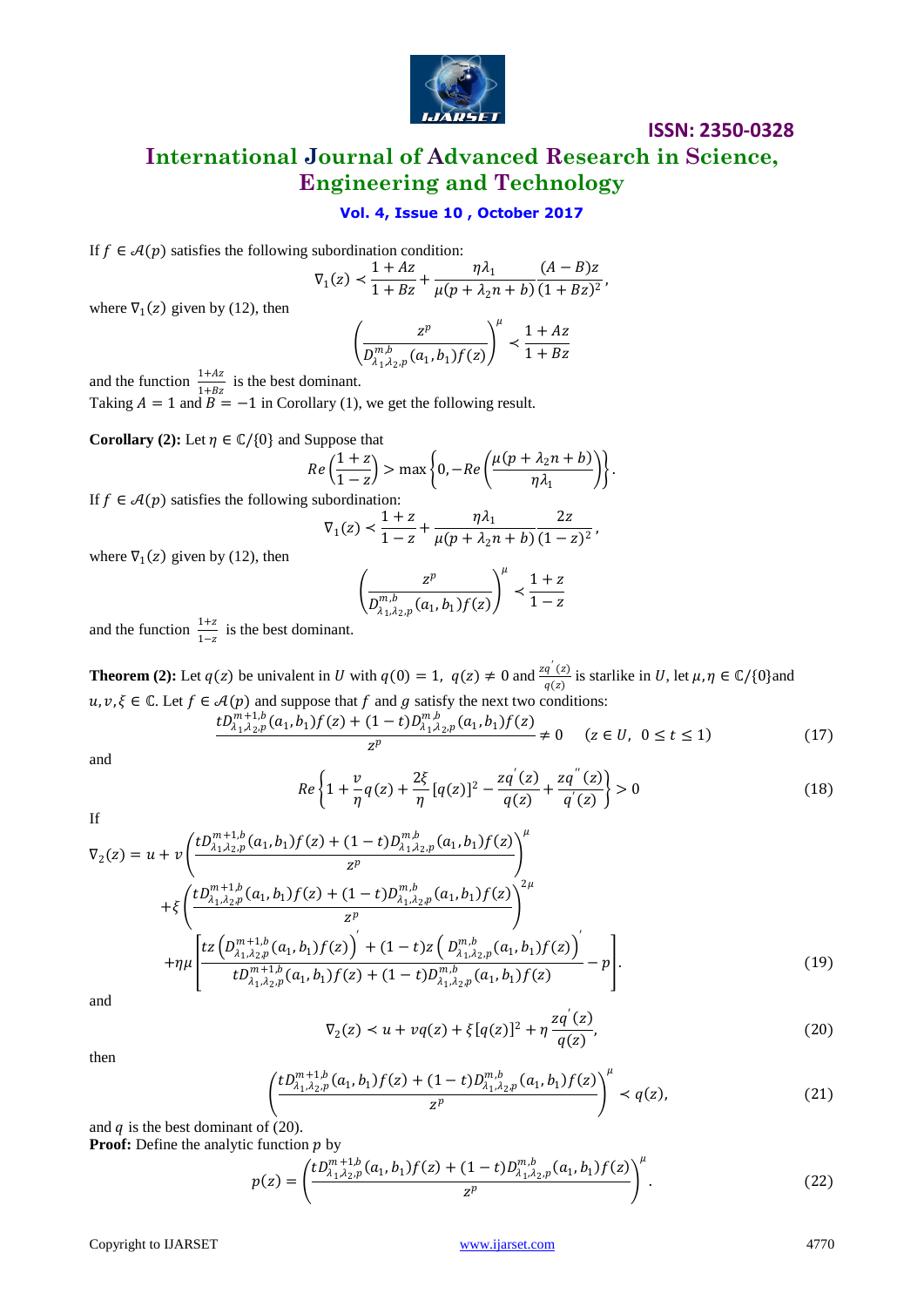

**International Journal of Advanced Research in Science, Engineering and Technology**

## **Vol. 4, Issue 10 , October 2017**

If  $f \in \mathcal{A}(p)$  satisfies the following subordination condition:

$$
\nabla_1(z) < \frac{1+Az}{1+Bz} + \frac{\eta \lambda_1}{\mu(p+\lambda_2 n + b)} \frac{(A-B)z}{(1+Bz)^2},
$$

where  $\nabla_1(z)$  given by (12), then

$$
\left(\frac{z^p}{D_{\lambda_1,\lambda_2,p}^{m,b}(a_1,b_1)f(z)}\right)^{\mu} \prec \frac{1+Az}{1+Bz}
$$

and the function  $\frac{1+Az}{1+Bz}$  is the best dominant.

Taking  $A = 1$  and  $B = -1$  in Corollary (1), we get the following result.

**Corollary (2):** Let  $\eta \in \mathbb{C}/\{0\}$  and Suppose that

$$
Re\left(\frac{1+z}{1-z}\right) > \max\left\{0, -Re\left(\frac{\mu(p+\lambda_2n+b)}{\eta\lambda_1}\right)\right\}.
$$

If  $f \in \mathcal{A}(p)$  satisfies the following subordination:

$$
\nabla_1(z) < \frac{1+z}{1-z} + \frac{\eta\lambda_1}{\mu(p+\lambda_2n+b)}\frac{2z}{(1-z)^2},
$$

where  $\nabla_1(z)$  given by (12), then

$$
\left(\frac{z^p}{D_{\lambda_1,\lambda_2,p}^{m,b}(a_1,b_1)f(z)}\right)^{\mu} \prec \frac{1+z}{1-z}
$$

and the function  $\frac{1+z}{1-z}$  is the best dominant.

**Theorem (2):** Let  $q(z)$  be univalent in U with  $q(0) = 1$ ,  $q(z) \neq 0$  and  $\frac{zq'(z)}{z(z)}$  $\frac{q(z)}{q(z)}$  is starlike in U, let  $\mu, \eta \in \mathbb{C}/\{0\}$  and  $u, v, \xi \in \mathbb{C}$ . Let  $f \in \mathcal{A}(p)$  and suppose that f and g satisfy the next two conditions:

$$
\frac{tD_{\lambda_1,\lambda_2,p}^{m+1,b}(a_1,b_1)f(z)+(1-t)D_{\lambda_1,\lambda_2,p}^{m,b}(a_1,b_1)f(z)}{z^p} \neq 0 \quad (z \in U, \ 0 \le t \le 1)
$$
 (17)

and

$$
Re\left\{1+\frac{v}{\eta}q(z)+\frac{2\xi}{\eta}[q(z)]^2-\frac{zq'(z)}{q(z)}+\frac{zq''(z)}{q'(z)}\right\}>0
$$
\n(18)

If

$$
\nabla_{2}(z) = u + v \left( \frac{t D_{\lambda_{1},\lambda_{2},p}^{m+1,b}(a_{1},b_{1}) f(z) + (1-t) D_{\lambda_{1},\lambda_{2},p}^{m,b}(a_{1},b_{1}) f(z)}{z^{p}} \right)^{\mu} + \xi \left( \frac{t D_{\lambda_{1},\lambda_{2},p}^{m+1,b}(a_{1},b_{1}) f(z) + (1-t) D_{\lambda_{1},\lambda_{2},p}^{m,b}(a_{1},b_{1}) f(z)}{z^{p}} \right)^{2\mu} + \eta \mu \left[ \frac{t z \left( D_{\lambda_{1},\lambda_{2},p}^{m+1,b}(a_{1},b_{1}) f(z) \right)^{'} + (1-t) z \left( D_{\lambda_{1},\lambda_{2},p}^{m,b}(a_{1},b_{1}) f(z) \right)^{'}}{t D_{\lambda_{1},\lambda_{2},p}^{m+1,b}(a_{1},b_{1}) f(z) + (1-t) D_{\lambda_{1},\lambda_{2},p}^{m,b}(a_{1},b_{1}) f(z)} - p \right].
$$
\n(19)

and

$$
\nabla_2(z) < u + vq(z) + \xi[q(z)]^2 + \eta \frac{zq'(z)}{q(z)},\tag{20}
$$

then

$$
\left(\frac{tD_{\lambda_1,\lambda_2,p}^{m+1,b}(a_1,b_1)f(z)+(1-t)D_{\lambda_1,\lambda_2,p}^{m,b}(a_1,b_1)f(z)}{z^p}\right)^{\mu} < q(z), \tag{21}
$$

and  $q$  is the best dominant of (20). **Proof:** Define the analytic function  $p$  by

$$
p(z) = \left(\frac{tD_{\lambda_1,\lambda_2,p}^{m+1,b}(a_1,b_1)f(z) + (1-t)D_{\lambda_1,\lambda_2,p}^{m,b}(a_1,b_1)f(z)}{z^p}\right)^{\mu}.
$$
 (22)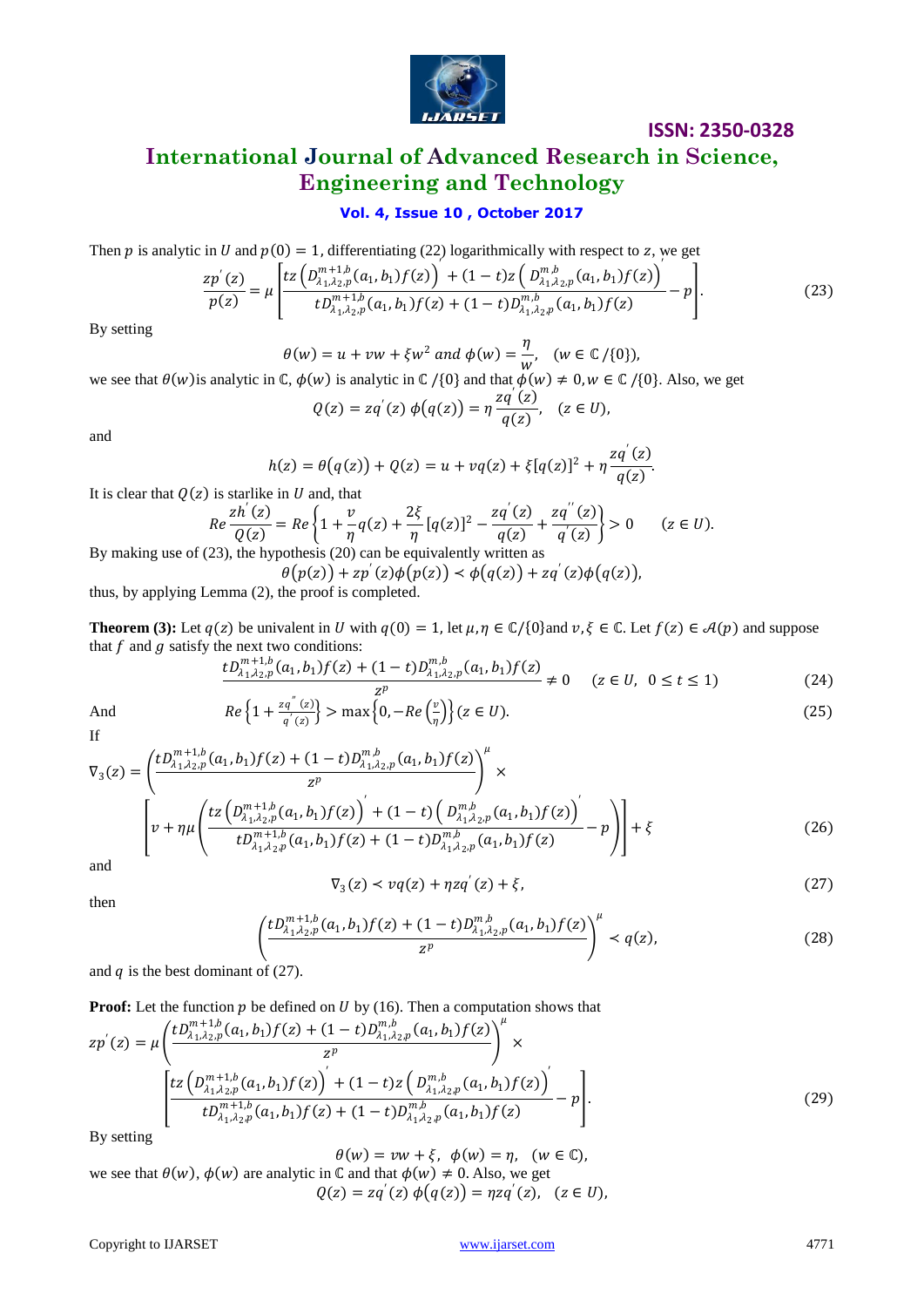

.

## **International Journal of Advanced Research in Science, Engineering and Technology**

## **Vol. 4, Issue 10 , October 2017**

Then p is analytic in U and  $p(0) = 1$ , differentiating (22) logarithmically with respect to z, we get

$$
\frac{zp'(z)}{p(z)} = \mu \left[ \frac{tz\left(D_{\lambda_1,\lambda_2,p}^{m+1,b}(a_1,b_1)f(z)\right) + (1-t)z\left(D_{\lambda_1,\lambda_2,p}^{m,b}(a_1,b_1)f(z)\right)}{tD_{\lambda_1,\lambda_2,p}^{m+1,b}(a_1,b_1)f(z) + (1-t)D_{\lambda_1,\lambda_2,p}^{m,b}(a_1,b_1)f(z)} - p \right].
$$
\n(23)

By setting

 $\theta(w) = u + v w + \xi w^2$  and  $\phi(w) = \frac{\eta}{\xi(w)}$  $\frac{1}{w}$ ,  $(w \in \mathbb{C}/\{0\})$ ,

we see that  $\theta(w)$  is analytic in  $\mathbb{C}$ ,  $\phi(w)$  is analytic in  $\mathbb{C}/\{0\}$  and that  $\phi(w) \neq 0, w \in \mathbb{C}/\{0\}$ . Also, we get

$$
Q(z) = zq'(z) \phi(q(z)) = \eta \frac{zq'(z)}{q(z)}, \quad (z \in U),
$$

and

$$
h(z) = \theta(q(z)) + Q(z) = u + vq(z) + \xi[q(z)]^{2} + \eta \frac{zq'(z)}{q(z)}
$$

It is clear that  $Q(z)$  is starlike in U and, that

$$
Re\frac{zh'(z)}{Q(z)} = Re\left\{1 + \frac{v}{\eta}q(z) + \frac{2\xi}{\eta}[q(z)]^2 - \frac{zq'(z)}{q(z)} + \frac{zq''(z)}{q'(z)}\right\} > 0 \qquad (z \in U).
$$

By making use of (23), the hypothesis (20) can be equivalently written as

 $\theta(p(z)) + z p'(z) \phi(p(z)) < \phi(q(z)) + z q'(z) \phi(q(z)),$ thus, by applying Lemma (2), the proof is completed.

**Theorem (3):** Let  $q(z)$  be univalent in U with  $q(0) = 1$ , let  $\mu, \eta \in \mathbb{C}/\{0\}$  and  $v, \xi \in \mathbb{C}$ . Let  $f(z) \in \mathcal{A}(p)$  and suppose that  $f$  and  $g$  satisfy the next two conditions:

$$
\frac{tD_{\lambda_1,\lambda_2,p}^{m+1,b}(a_1,b_1)f(z)+(1-t)D_{\lambda_1,\lambda_2,p}^{m,b}(a_1,b_1)f(z)}{z^p} \neq 0 \quad (z \in U, \ 0 \le t \le 1)
$$
 (24)

$$
Re\left\{1+\frac{zq^{n}(z)}{q'(z)}\right\} > \max\left\{0, -Re\left(\frac{v}{\eta}\right)\right\}(z \in U). \tag{25}
$$

And If

$$
\nabla_{3}(z) = \left(\frac{tD_{\lambda_{1},\lambda_{2},p}^{m+1,b}(a_{1},b_{1})f(z)+(1-t)D_{\lambda_{1},\lambda_{2},p}^{m,b}(a_{1},b_{1})f(z)}{z^{p}}\right)^{\mu} \times \left[v+\eta\mu\left(\frac{tz\left(D_{\lambda_{1},\lambda_{2},p}^{m+1,b}(a_{1},b_{1})f(z)\right)^{'}}{tD_{\lambda_{1},\lambda_{2},p}^{m+1,b}(a_{1},b_{1})f(z)+(1-t)D_{\lambda_{1},\lambda_{2},p}^{m,b}(a_{1},b_{1})f(z)}-p\right)\right]+\xi
$$
\n(26)

and

$$
\nabla_3(z) \prec vq(z) + \eta zq'(z) + \xi,\tag{27}
$$

then

$$
\left(\frac{tD_{\lambda_1,\lambda_2,p}^{m+1,b}(a_1,b_1)f(z)+(1-t)D_{\lambda_1,\lambda_2,p}^{m,b}(a_1,b_1)f(z)}{z^p}\right)^{\mu} < q(z),\tag{28}
$$

and  $q$  is the best dominant of (27).

**Proof:** Let the function  $p$  be defined on  $U$  by (16). Then a computation shows that

$$
zp'(z) = \mu \left( \frac{tD_{\lambda_1,\lambda_2,p}^{m+1,b}(a_1,b_1)f(z) + (1-t)D_{\lambda_1,\lambda_2,p}^{m,b}(a_1,b_1)f(z)}{z^p} \right)^{\mu} \times \left[ \frac{tz\left(D_{\lambda_1,\lambda_2,p}^{m+1,b}(a_1,b_1)f(z)\right) + (1-t)z\left(D_{\lambda_1,\lambda_2,p}^{m,b}(a_1,b_1)f(z)\right)}{tD_{\lambda_1,\lambda_2,p}^{m+1,b}(a_1,b_1)f(z) + (1-t)D_{\lambda_1,\lambda_2,p}^{m,b}(a_1,b_1)f(z)} - p \right].
$$
\n(29)

By setting

 $\theta(w) = vw + \xi$ ,  $\phi(w) = \eta$ ,  $(w \in \mathbb{C})$ ,

we see that 
$$
\theta(w)
$$
,  $\phi(w)$  are analytic in C and that  $\phi(w) \neq 0$ . Also, we get  
\n $Q(z) = zq'(z) \phi(q(z)) = \eta zq'(z)$ ,  $(z \in U)$ ,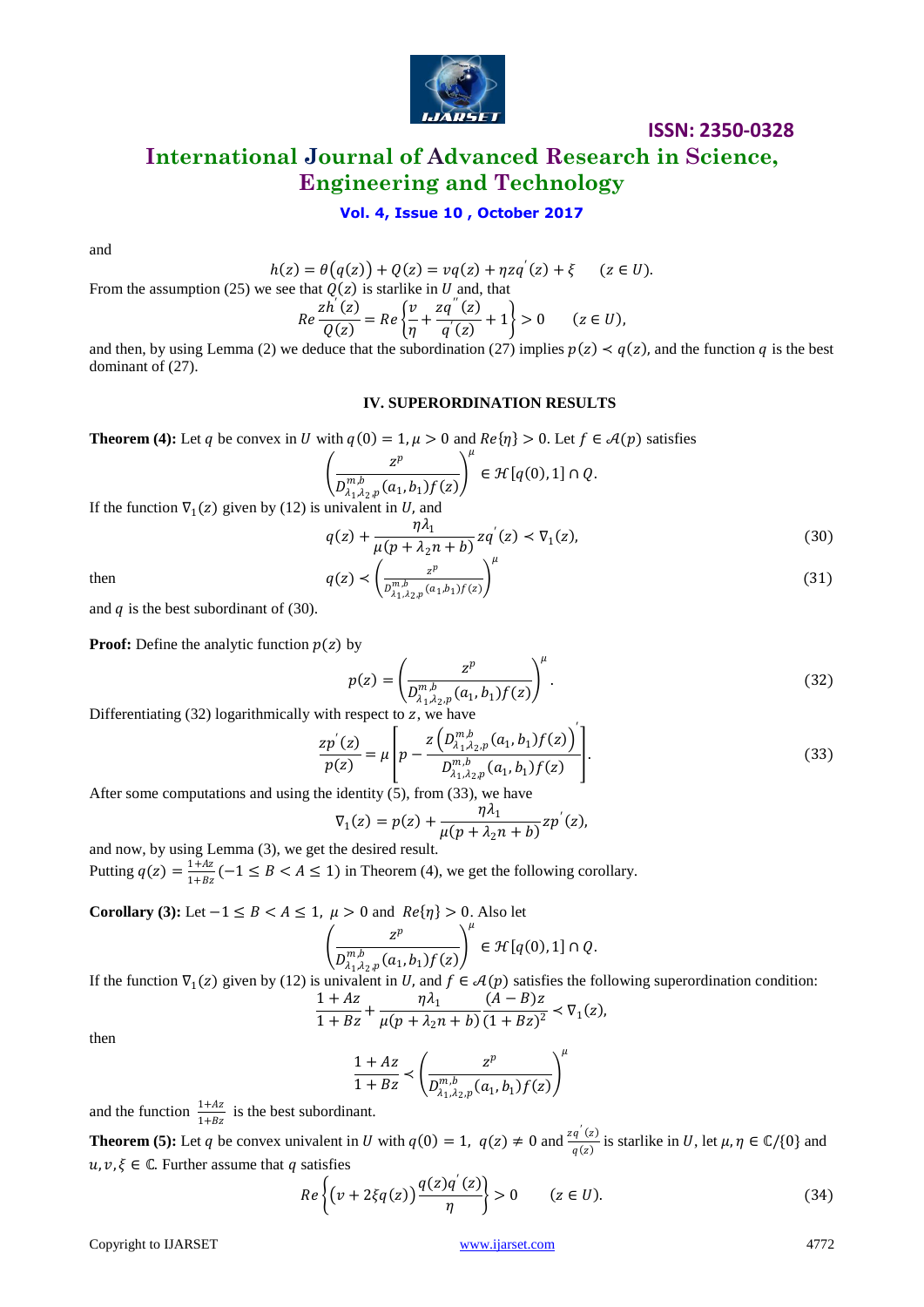

## **International Journal of Advanced Research in Science, Engineering and Technology**

## **Vol. 4, Issue 10 , October 2017**

and

$$
h(z) = \theta(q(z)) + Q(z) = vq(z) + \eta zq'(z) + \xi \quad (z \in U).
$$

From the assumption (25) we see that 
$$
Q(z)
$$
 is starlike in *U* and, that  

$$
R_{\rho} \frac{zh^{'}(z)}{z-a} = R_{\rho} \left( \frac{v}{z} + \frac{zq^{''}(z)}{z+1} + 1 \right) > 0 \qquad (z \in
$$

$$
Re\frac{2\pi(z)}{Q(z)} = Re\left\{\frac{v}{\eta} + \frac{2q(z)}{q'(z)} + 1\right\} > 0 \qquad (z \in U),
$$

and then, by using Lemma (2) we deduce that the subordination (27) implies  $p(z) \lt q(z)$ , and the function q is the best dominant of (27).

#### **IV. SUPERORDINATION RESULTS**

**Theorem (4):** Let q be convex in U with  $q(0) = 1, \mu > 0$  and  $Re\{\eta\} > 0$ . Let  $f \in \mathcal{A}(p)$  satisfies

$$
\left(\frac{z^p}{D_{\lambda_1,\lambda_2,p}^{m,b}(a_1,b_1)f(z)}\right)^{\mu} \in \mathcal{H}[q(0),1] \cap Q.
$$
\nunivalent in *II* and

If the function  $\nabla_1(z)$  given by (12) is univalent in U, and

$$
q(z) + \frac{\eta \lambda_1}{\mu(p + \lambda_2 n + b)} z q'(z) < \nabla_1(z),\tag{30}
$$

then 
$$
q(z) < \left(\frac{z^p}{D_{\lambda_1,\lambda_2,p}^{m,b}(a_1,b_1)f(z)}\right)^{\mu}
$$
 (31)

and  $q$  is the best subordinant of (30).

**Proof:** Define the analytic function  $p(z)$  by

$$
p(z) = \left(\frac{z^p}{D_{\lambda_1,\lambda_2,p}^{m,b}(a_1,b_1)f(z)}\right)^{\mu}.
$$
\n(32)

\nrespect to  $z$  we have

Differentiating  $(32)$  logarithmically with respect to  $z$ , we have

$$
\frac{zp'(z)}{p(z)} = \mu \left[ p - \frac{z\left(D_{\lambda_1,\lambda_2,p}^{m,b}(a_1,b_1)f(z)\right)}{D_{\lambda_1,\lambda_2,p}^{m,b}(a_1,b_1)f(z)} \right].
$$
\n(33)

 $\mathbf{r}$ 

After some computations and using the identity (5), from (33), we have

$$
\nabla_1(z) = p(z) + \frac{\eta \lambda_1}{\mu (p + \lambda_2 n + b)} z p'(z),
$$

and now, by using Lemma (3), we get the desired result. Putting  $q(z) = \frac{1+Az}{1+Az}$  $\frac{1+A}{1+Bz}(-1 \leq B < A \leq 1)$  in Theorem (4), we get the following corollary.

**Corollary (3):** Let  $-1 \le B < A \le 1$ ,  $\mu > 0$  and  $Re\{\eta\} > 0$ . Also let  $\mu$ 

$$
\left(\frac{z^p}{D_{\lambda_1,\lambda_2,p}^{m,b}(a_1,b_1)f(z)}\right)^{\mu} \in \mathcal{H}[q(0),1] \cap Q.
$$
\nunivalent in *U* and  $f \in \mathcal{A}(p)$  satisfies the f

If the function  $\nabla_1(z)$  given by (12) is univalent in U, and  $f \in \mathcal{A}(p)$  satisfies the following superordination condition:

$$
\frac{1+Az}{1+Bz} + \frac{\eta \lambda_1}{\mu(p+\lambda_2 n + b)} \frac{(A-B)z}{(1+Bz)^2} < \nabla_1(z),
$$

then

$$
\frac{1+Az}{1+Bz} \prec \left(\frac{z^p}{D_{\lambda_1,\lambda_2,p}^{m,b}(a_1,b_1)f(z)}\right)^{\mu}
$$

and the function  $\frac{1+Az}{1+Bz}$  is the best subordinant.

**Theorem (5):** Let q be convex univalent in U with  $q(0) = 1$ ,  $q(z) \neq 0$  and  $\frac{zq'(z)}{z(z)}$  $\frac{q(z)}{q(z)}$  is starlike in U, let  $\mu, \eta \in \mathbb{C}/\{0\}$  and  $u, v, \xi \in \mathbb{C}$ . Further assume that q satisfies

$$
Re\left\{ \left(v + 2\xi q(z)\right) \frac{q(z)q'(z)}{\eta} \right\} > 0 \qquad (z \in U). \tag{34}
$$

Copyright to IJARSET [www.ijarset.com](http://www.ijarset.com/) 4772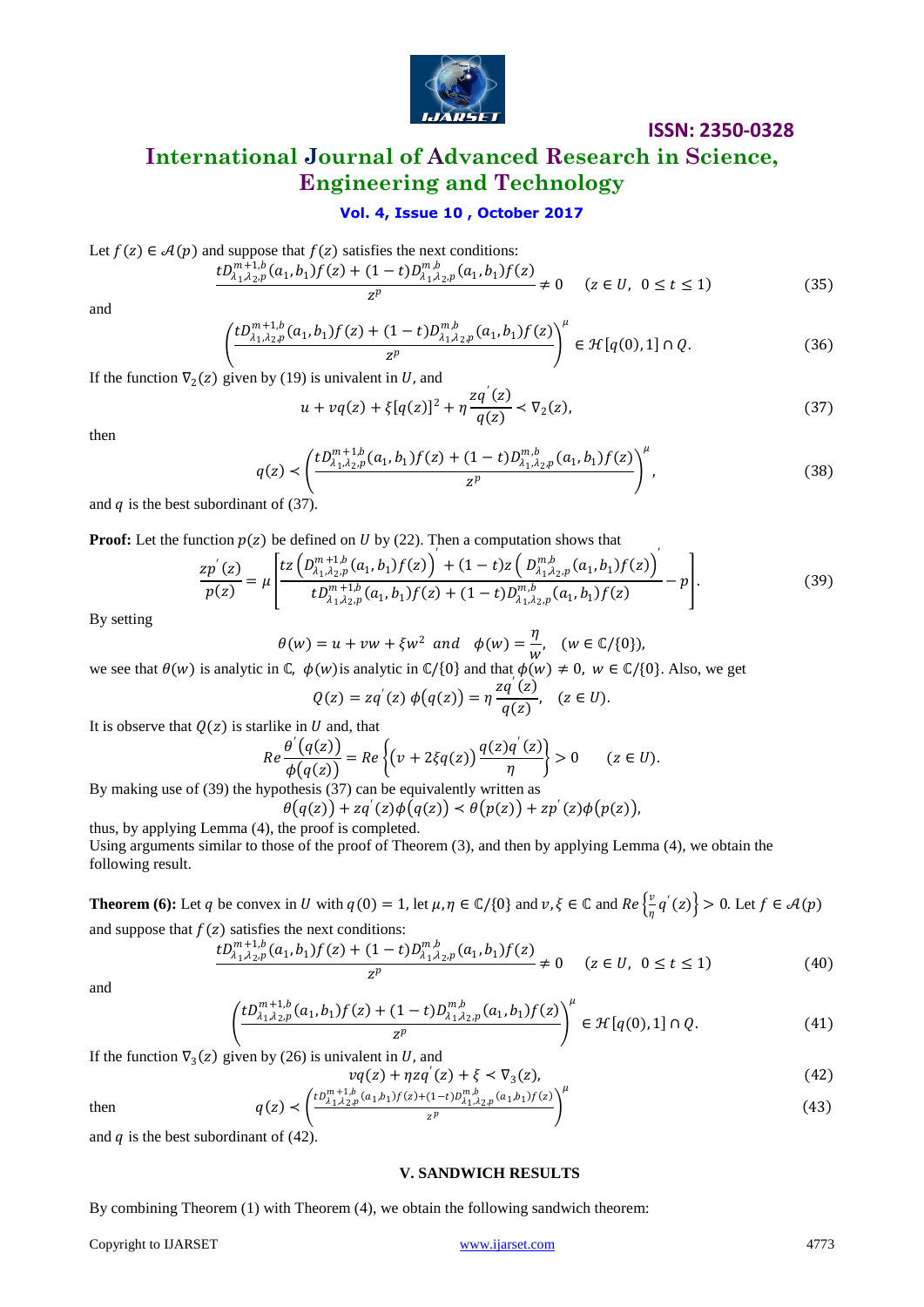

## **International Journal of Advanced Research in Science, Engineering and Technology**

## **Vol. 4, Issue 10 , October 2017**

Let 
$$
f(z) \in \mathcal{A}(p)
$$
 and suppose that  $f(z)$  satisfies the next conditions:

$$
\frac{tD_{\lambda_1,\lambda_2,p}^{m+1,b}(a_1,b_1)f(z)+(1-t)D_{\lambda_1,\lambda_2,p}^{m,b}(a_1,b_1)f(z)}{z^p} \neq 0 \quad (z \in U, \ 0 \le t \le 1)
$$
 (35)

and

$$
\left(\frac{tD_{\lambda_1,\lambda_2,p}^{m+1,b}(a_1,b_1)f(z)+(1-t)D_{\lambda_1,\lambda_2,p}^{m,b}(a_1,b_1)f(z)}{z^p}\right)^{\mu}\in \mathcal{H}[q(0),1]\cap Q. \tag{36}
$$

If the function  $\nabla_2(z)$  given by (19) is univalent in U, and

$$
u + vq(z) + \xi[q(z)]^2 + \eta \frac{zq'(z)}{q(z)} < \nabla_2(z),
$$
\n(37)

then

$$
q(z) < \left(\frac{tD_{\lambda_1,\lambda_2,p}^{m+1,b}(a_1,b_1)f(z) + (1-t)D_{\lambda_1,\lambda_2,p}^{m,b}(a_1,b_1)f(z)}{z^p}\right)^{\mu},
$$
\n(38)

and  $q$  is the best subordinant of (37).

**Proof:** Let the function  $p(z)$  be defined on  $U$  by (22). Then a computation shows that

$$
\frac{zp'(z)}{p(z)} = \mu \left[ \frac{tz\left(D_{\lambda_1,\lambda_2,p}^{m+1,b}(a_1,b_1)f(z)\right) + (1-t)z\left(D_{\lambda_1,\lambda_2,p}^{m,b}(a_1,b_1)f(z)\right)}{tD_{\lambda_1,\lambda_2,p}^{m+1,b}(a_1,b_1)f(z) + (1-t)D_{\lambda_1,\lambda_2,p}^{m,b}(a_1,b_1)f(z)} - p \right].
$$
\n(39)

By setting

$$
\theta(w) = u + vw + \xi w^2 \text{ and } \phi(w) = \frac{\eta}{w}, \quad (w \in \mathbb{C}/\{0\}),
$$
  
and  $\phi(w) = \frac{\eta}{w}, \quad (w \in \mathbb{C}/\{0\}),$ 

we see that  $\theta(w)$  is analytic in  $\mathbb{C}$ ,  $\phi(w)$  is analytic in  $\mathbb{C}/\{0\}$  and that  $\phi(w) \neq 0$ ,  $w \in \mathbb{C}/\{0\}$ . Also, we get

$$
Q(z) = zq'(z) \phi(q(z)) = \eta \frac{zq'(z)}{q(z)}, \quad (z \in U).
$$

It is observe that  $Q(z)$  is starlike in U and, that

$$
Re\frac{\theta'(q(z))}{\phi(q(z))} = Re\left\{ \left( \nu + 2\xi q(z) \right) \frac{q(z)q'(z)}{\eta} \right\} > 0 \qquad (z \in U).
$$

By making use of (39) the hypothesis (37) can be equivalently written as

 $\theta(q(z)) + zq'(z)\phi(q(z)) < \theta(p(z)) + zp'(z)\phi(p(z)),$ thus, by applying Lemma (4), the proof is completed.

Using arguments similar to those of the proof of Theorem (3), and then by applying Lemma (4), we obtain the following result.

**Theorem (6):** Let q be convex in U with  $q(0) = 1$ , let  $\mu, \eta \in \mathbb{C}/\{0\}$  and  $v, \xi \in \mathbb{C}$  and  $Re\left\{\frac{v}{v}\right\}$  $\left\{ \frac{v}{\eta} q'(z) \right\} > 0.$  Let  $f \in \mathcal{A}(p)$ and suppose that  $f(z)$  satisfies the next conditions:

$$
\frac{tD_{\lambda_1,\lambda_2,p}^{m+1,b}(a_1,b_1)f(z) + (1-t)D_{\lambda_1,\lambda_2,p}^{m,b}(a_1,b_1)f(z)}{z^p} \neq 0 \quad (z \in U, \ 0 \le t \le 1)
$$
\n(40)

and

$$
\left(\frac{tD_{\lambda_1,\lambda_2,p}^{m+1,b}(a_1,b_1)f(z)+(1-t)D_{\lambda_1,\lambda_2,p}^{m,b}(a_1,b_1)f(z)}{z^p}\right)^{\mu}\in \mathcal{H}[q(0),1]\cap Q. \tag{41}
$$

If the function  $\nabla_3(z)$  given by (26) is univalent in U, and

$$
\nu q(z) + \eta z q'(z) + \xi < \nabla_3(z),
$$
\n
$$
\left(\mu n^{m+1,b} (z, b, \xi(z)) (1, b) n^{m,b} - (z, b, \xi(z)) \right)^{\mu}
$$
\n(42)

then

$$
q(z) \prec \left(\frac{t D_{\lambda_1, \lambda_2, p}^{m+1, b}(a_1, b_1) f(z) + (1-t) D_{\lambda_1, \lambda_2, p}^{m, b}(a_1, b_1) f(z)}{z^p}\right)^{\mu} \tag{43}
$$

and  $q$  is the best subordinant of (42).

#### **V. SANDWICH RESULTS**

By combining Theorem (1) with Theorem (4), we obtain the following sandwich theorem:

Copyright to IJARSET [www.ijarset.com](http://www.ijarset.com/) 4773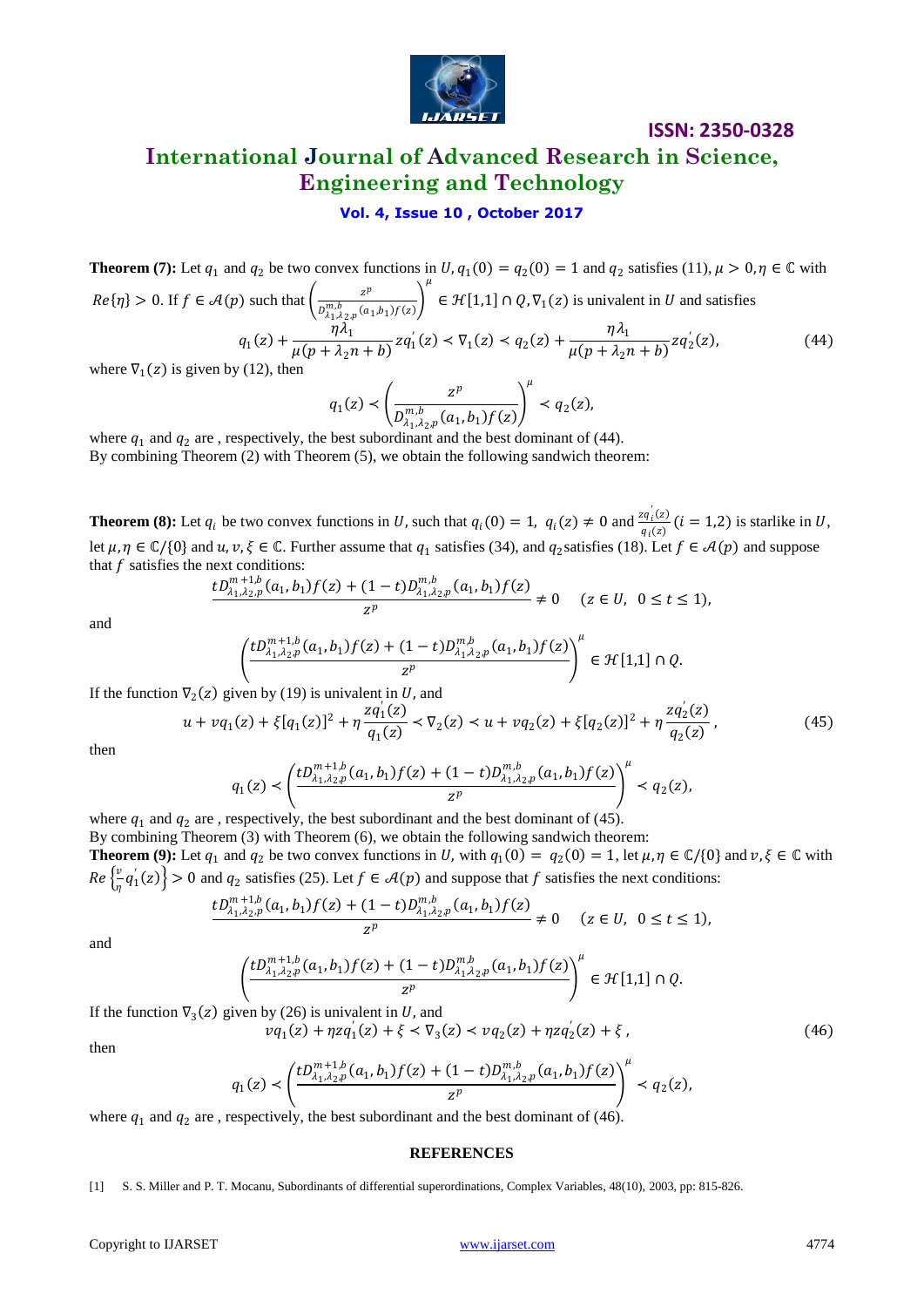

## **International Journal of Advanced Research in Science, Engineering and Technology**

## **Vol. 4, Issue 10 , October 2017**

**Theorem (7):** Let  $q_1$  and  $q_2$  be two convex functions in  $U$ ,  $q_1(0) = q_2(0) = 1$  and  $q_2$  satisfies (11),  $\mu > 0$ ,  $\eta \in \mathbb{C}$  with  $Re\{\eta\} > 0$ . If  $f \in \mathcal{A}(p)$  such that  $\left(\frac{z^p}{e^{m}}\right)^{1/p}$  $\frac{z^{1}}{D_{\lambda_{1},\lambda_{2},p}^{m,b}(a_{1},b_{1})f(z)}$  $\mu$  $\in \mathcal{H}[1,1] \cap Q, \nabla_1(z)$  is univalent in U and satisfies  $q_1(z) + \frac{\eta \lambda_1}{\sqrt{(n+1)^2}}$  $\frac{\eta \lambda_1}{\mu(p + \lambda_2 n + b)} z q_1'(z) < \nabla_1(z) < q_2(z) + \frac{\eta \lambda_1}{\mu(p + \lambda_2)}$  $\frac{4n_1}{\mu(p+\lambda_2n+b)}zq_2'(z),$  (44)

where  $\nabla_1(z)$  is given by (12), then

$$
q_1(z) < \left(\frac{z^p}{D_{\lambda_1, \lambda_2, p}^{m, b}(a_1, b_1) f(z)}\right)^{\mu} < q_2(z),
$$
  
best subordinant and the best dominant of (4)

where  $q_1$  and  $q_2$  are, respectively, the best subordinant and the best dominant of (44). By combining Theorem (2) with Theorem (5), we obtain the following sandwich theorem:

**Theorem (8):** Let  $q_i$  be two convex functions in U, such that  $q_i(0) = 1$ ,  $q_i(z) \neq 0$  and  $\frac{zq_i(z)}{q_i(z)}$  $\frac{u_i(z)}{q_i(z)}$  (*i* = 1,2) is starlike in *U*, let  $\mu, \eta \in \mathbb{C}/\{0\}$  and  $u, v, \xi \in \mathbb{C}$ . Further assume that  $q_1$  satisfies (34), and  $q_2$ satisfies (18). Let  $f \in \mathcal{A}(p)$  and suppose that  $f$  satisfies the next conditions:

$$
\frac{tD_{\lambda_1,\lambda_2,p}^{m+1,b}(a_1,b_1)f(z)+(1-t)D_{\lambda_1,\lambda_2,p}^{m,b}(a_1,b_1)f(z)}{z^p}\neq 0 \quad (z\in U, \ 0\leq t\leq 1),
$$

and

$$
\left(\frac{tD_{\lambda_1,\lambda_2,p}^{m+1,b}(a_1,b_1)f(z)+(1-t)D_{\lambda_1,\lambda_2,p}^{m,b}(a_1,b_1)f(z)}{z^p}\right)^{\mu}\in \mathcal{H}[1,1]\cap Q.
$$

If the function  $\nabla_2(z)$  given by (19) is univalent in U, and

$$
u + v q_1(z) + \xi [q_1(z)]^2 + \eta \frac{z q_1'(z)}{q_1(z)} < \nabla_2(z) < u + v q_2(z) + \xi [q_2(z)]^2 + \eta \frac{z q_2'(z)}{q_2(z)},
$$
\n(45)

then

$$
q_1(z) \prec \left(\frac{tD_{\lambda_1,\lambda_2,p}^{m+1,b}(a_1,b_1)f(z)+(1-t)D_{\lambda_1,\lambda_2,p}^{m,b}(a_1,b_1)f(z)}{z^p}\right)^\mu < q_2(z),
$$

where  $q_1$  and  $q_2$  are , respectively, the best subordinant and the best dominant of (45). By combining Theorem (3) with Theorem (6), we obtain the following sandwich theorem: **Theorem (9):** Let  $q_1$  and  $q_2$  be two convex functions in U, with  $q_1(0) = q_2(0) = 1$ , let  $\mu, \eta \in \mathbb{C}$  {0} and  $v, \xi \in \mathbb{C}$  with  $Re\left\{\frac{v}{v}\right\}$  $\left\{\frac{v}{\eta}q'_1(z)\right\}>0$  and  $q_2$  satisfies (25). Let  $f \in \mathcal{A}(p)$  and suppose that f satisfies the next conditions:

$$
\frac{tD_{\lambda_1,\lambda_2,p}^{m+1,b}(a_1,b_1)f(z)+(1-t)D_{\lambda_1,\lambda_2,p}^{m,b}(a_1,b_1)f(z)}{z^p}\neq 0\quad \ (z\in U,\ \, 0\leq t\leq 1),
$$

and

$$
\left(\frac{tD_{\lambda_1,\lambda_2,p}^{m+1,b}(a_1,b_1)f(z)+(1-t)D_{\lambda_1,\lambda_2,p}^{m,b}(a_1,b_1)f(z)}{z^p}\right)^{\mu}\in \mathcal{H}[1,1]\cap Q.
$$

If the function  $\nabla_3(z)$  given by (26) is univalent in U, and

$$
v q_1(z) + \eta z q_1'(z) + \xi < \nabla_3(z) < v q_2(z) + \eta z q_2'(z) + \xi,
$$
\n(46)

then

$$
q_1(z) \prec \left(\frac{tD_{\lambda_1,\lambda_2,p}^{m+1,b}(a_1,b_1)f(z)+(1-t)D_{\lambda_1,\lambda_2,p}^{m,b}(a_1,b_1)f(z)}{z^p}\right)^{\mu} \prec q_2(z),
$$

where  $q_1$  and  $q_2$  are , respectively, the best subordinant and the best dominant of (46).

#### **REFERENCES**

#### [1] S. S. Miller and P. T. Mocanu, Subordinants of differential superordinations, Complex Variables, 48(10), 2003, pp: 815-826.